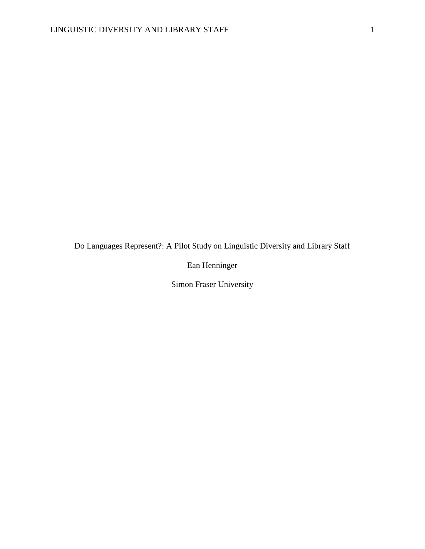Do Languages Represent?: A Pilot Study on Linguistic Diversity and Library Staff

Ean Henninger

Simon Fraser University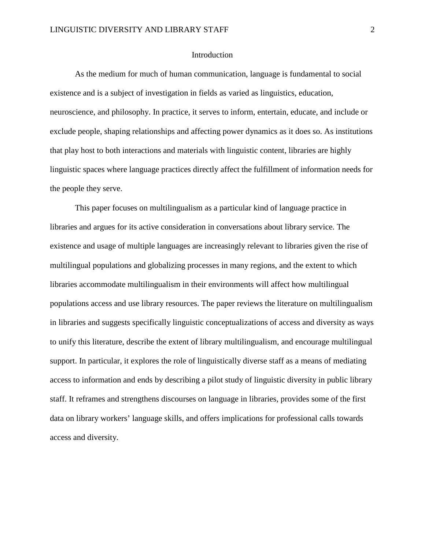### Introduction

As the medium for much of human communication, language is fundamental to social existence and is a subject of investigation in fields as varied as linguistics, education, neuroscience, and philosophy. In practice, it serves to inform, entertain, educate, and include or exclude people, shaping relationships and affecting power dynamics as it does so. As institutions that play host to both interactions and materials with linguistic content, libraries are highly linguistic spaces where language practices directly affect the fulfillment of information needs for the people they serve.

This paper focuses on multilingualism as a particular kind of language practice in libraries and argues for its active consideration in conversations about library service. The existence and usage of multiple languages are increasingly relevant to libraries given the rise of multilingual populations and globalizing processes in many regions, and the extent to which libraries accommodate multilingualism in their environments will affect how multilingual populations access and use library resources. The paper reviews the literature on multilingualism in libraries and suggests specifically linguistic conceptualizations of access and diversity as ways to unify this literature, describe the extent of library multilingualism, and encourage multilingual support. In particular, it explores the role of linguistically diverse staff as a means of mediating access to information and ends by describing a pilot study of linguistic diversity in public library staff. It reframes and strengthens discourses on language in libraries, provides some of the first data on library workers' language skills, and offers implications for professional calls towards access and diversity.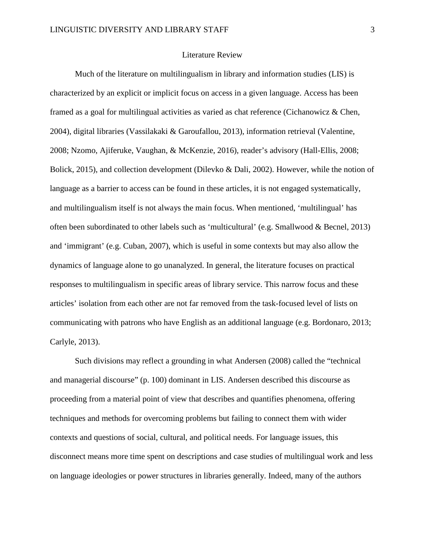#### Literature Review

Much of the literature on multilingualism in library and information studies (LIS) is characterized by an explicit or implicit focus on access in a given language. Access has been framed as a goal for multilingual activities as varied as chat reference (Cichanowicz & Chen, 2004), digital libraries (Vassilakaki & Garoufallou, 2013), information retrieval (Valentine, 2008; Nzomo, Ajiferuke, Vaughan, & McKenzie, 2016), reader's advisory (Hall-Ellis, 2008; Bolick, 2015), and collection development (Dilevko & Dali, 2002). However, while the notion of language as a barrier to access can be found in these articles, it is not engaged systematically, and multilingualism itself is not always the main focus. When mentioned, 'multilingual' has often been subordinated to other labels such as 'multicultural' (e.g. Smallwood & Becnel, 2013) and 'immigrant' (e.g. Cuban, 2007), which is useful in some contexts but may also allow the dynamics of language alone to go unanalyzed. In general, the literature focuses on practical responses to multilingualism in specific areas of library service. This narrow focus and these articles' isolation from each other are not far removed from the task-focused level of lists on communicating with patrons who have English as an additional language (e.g. Bordonaro, 2013; Carlyle, 2013).

Such divisions may reflect a grounding in what Andersen (2008) called the "technical and managerial discourse" (p. 100) dominant in LIS. Andersen described this discourse as proceeding from a material point of view that describes and quantifies phenomena, offering techniques and methods for overcoming problems but failing to connect them with wider contexts and questions of social, cultural, and political needs. For language issues, this disconnect means more time spent on descriptions and case studies of multilingual work and less on language ideologies or power structures in libraries generally. Indeed, many of the authors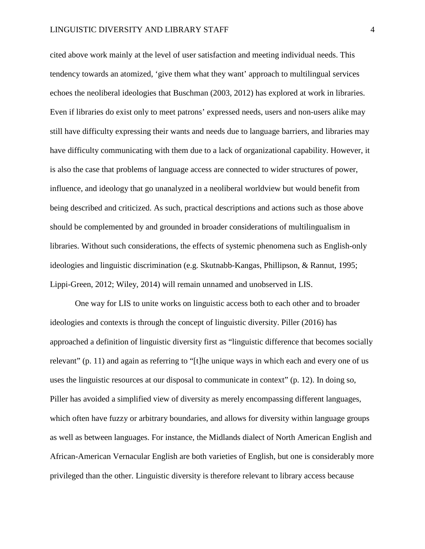cited above work mainly at the level of user satisfaction and meeting individual needs. This tendency towards an atomized, 'give them what they want' approach to multilingual services echoes the neoliberal ideologies that Buschman (2003, 2012) has explored at work in libraries. Even if libraries do exist only to meet patrons' expressed needs, users and non-users alike may still have difficulty expressing their wants and needs due to language barriers, and libraries may have difficulty communicating with them due to a lack of organizational capability. However, it is also the case that problems of language access are connected to wider structures of power, influence, and ideology that go unanalyzed in a neoliberal worldview but would benefit from being described and criticized. As such, practical descriptions and actions such as those above should be complemented by and grounded in broader considerations of multilingualism in libraries. Without such considerations, the effects of systemic phenomena such as English-only ideologies and linguistic discrimination (e.g. Skutnabb-Kangas, Phillipson, & Rannut, 1995; Lippi-Green, 2012; Wiley, 2014) will remain unnamed and unobserved in LIS.

One way for LIS to unite works on linguistic access both to each other and to broader ideologies and contexts is through the concept of linguistic diversity. Piller (2016) has approached a definition of linguistic diversity first as "linguistic difference that becomes socially relevant" (p. 11) and again as referring to "[t]he unique ways in which each and every one of us uses the linguistic resources at our disposal to communicate in context" (p. 12). In doing so, Piller has avoided a simplified view of diversity as merely encompassing different languages, which often have fuzzy or arbitrary boundaries, and allows for diversity within language groups as well as between languages. For instance, the Midlands dialect of North American English and African-American Vernacular English are both varieties of English, but one is considerably more privileged than the other. Linguistic diversity is therefore relevant to library access because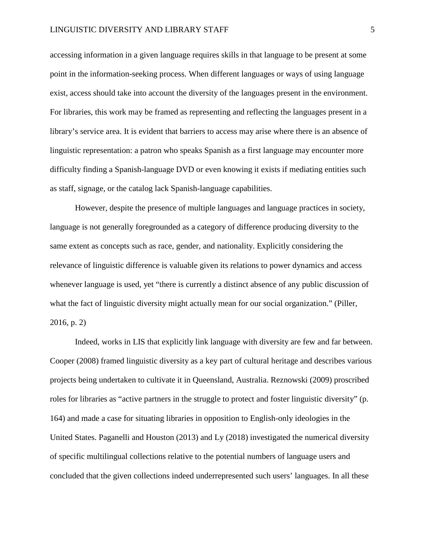#### LINGUISTIC DIVERSITY AND LIBRARY STAFF 5

accessing information in a given language requires skills in that language to be present at some point in the information-seeking process. When different languages or ways of using language exist, access should take into account the diversity of the languages present in the environment. For libraries, this work may be framed as representing and reflecting the languages present in a library's service area. It is evident that barriers to access may arise where there is an absence of linguistic representation: a patron who speaks Spanish as a first language may encounter more difficulty finding a Spanish-language DVD or even knowing it exists if mediating entities such as staff, signage, or the catalog lack Spanish-language capabilities.

However, despite the presence of multiple languages and language practices in society, language is not generally foregrounded as a category of difference producing diversity to the same extent as concepts such as race, gender, and nationality. Explicitly considering the relevance of linguistic difference is valuable given its relations to power dynamics and access whenever language is used, yet "there is currently a distinct absence of any public discussion of what the fact of linguistic diversity might actually mean for our social organization." (Piller, 2016, p. 2)

Indeed, works in LIS that explicitly link language with diversity are few and far between. Cooper (2008) framed linguistic diversity as a key part of cultural heritage and describes various projects being undertaken to cultivate it in Queensland, Australia. Reznowski (2009) proscribed roles for libraries as "active partners in the struggle to protect and foster linguistic diversity" (p. 164) and made a case for situating libraries in opposition to English-only ideologies in the United States. Paganelli and Houston (2013) and Ly (2018) investigated the numerical diversity of specific multilingual collections relative to the potential numbers of language users and concluded that the given collections indeed underrepresented such users' languages. In all these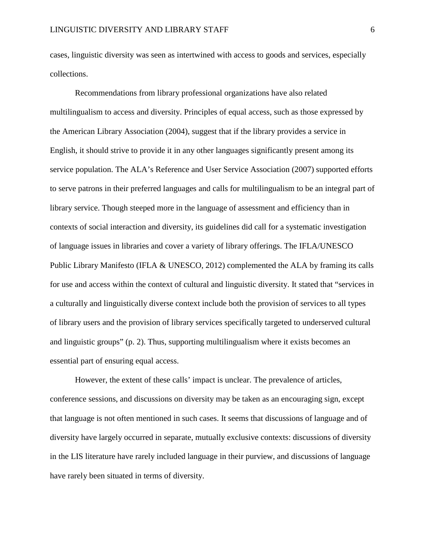cases, linguistic diversity was seen as intertwined with access to goods and services, especially collections.

Recommendations from library professional organizations have also related multilingualism to access and diversity. Principles of equal access, such as those expressed by the American Library Association (2004), suggest that if the library provides a service in English, it should strive to provide it in any other languages significantly present among its service population. The ALA's Reference and User Service Association (2007) supported efforts to serve patrons in their preferred languages and calls for multilingualism to be an integral part of library service. Though steeped more in the language of assessment and efficiency than in contexts of social interaction and diversity, its guidelines did call for a systematic investigation of language issues in libraries and cover a variety of library offerings. The IFLA/UNESCO Public Library Manifesto (IFLA & UNESCO, 2012) complemented the ALA by framing its calls for use and access within the context of cultural and linguistic diversity. It stated that "services in a culturally and linguistically diverse context include both the provision of services to all types of library users and the provision of library services specifically targeted to underserved cultural and linguistic groups" (p. 2). Thus, supporting multilingualism where it exists becomes an essential part of ensuring equal access.

However, the extent of these calls' impact is unclear. The prevalence of articles, conference sessions, and discussions on diversity may be taken as an encouraging sign, except that language is not often mentioned in such cases. It seems that discussions of language and of diversity have largely occurred in separate, mutually exclusive contexts: discussions of diversity in the LIS literature have rarely included language in their purview, and discussions of language have rarely been situated in terms of diversity.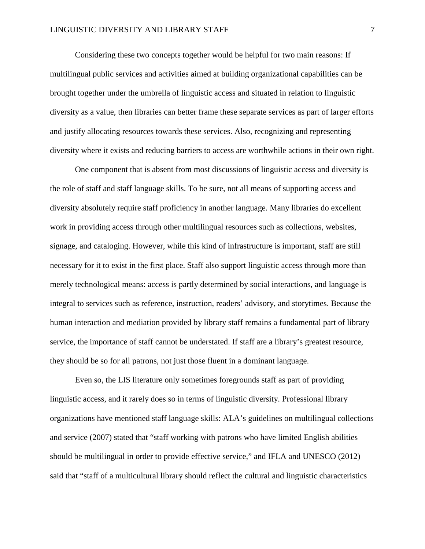Considering these two concepts together would be helpful for two main reasons: If multilingual public services and activities aimed at building organizational capabilities can be brought together under the umbrella of linguistic access and situated in relation to linguistic diversity as a value, then libraries can better frame these separate services as part of larger efforts and justify allocating resources towards these services. Also, recognizing and representing diversity where it exists and reducing barriers to access are worthwhile actions in their own right.

One component that is absent from most discussions of linguistic access and diversity is the role of staff and staff language skills. To be sure, not all means of supporting access and diversity absolutely require staff proficiency in another language. Many libraries do excellent work in providing access through other multilingual resources such as collections, websites, signage, and cataloging. However, while this kind of infrastructure is important, staff are still necessary for it to exist in the first place. Staff also support linguistic access through more than merely technological means: access is partly determined by social interactions, and language is integral to services such as reference, instruction, readers' advisory, and storytimes. Because the human interaction and mediation provided by library staff remains a fundamental part of library service, the importance of staff cannot be understated. If staff are a library's greatest resource, they should be so for all patrons, not just those fluent in a dominant language.

Even so, the LIS literature only sometimes foregrounds staff as part of providing linguistic access, and it rarely does so in terms of linguistic diversity. Professional library organizations have mentioned staff language skills: ALA's guidelines on multilingual collections and service (2007) stated that "staff working with patrons who have limited English abilities should be multilingual in order to provide effective service," and IFLA and UNESCO (2012) said that "staff of a multicultural library should reflect the cultural and linguistic characteristics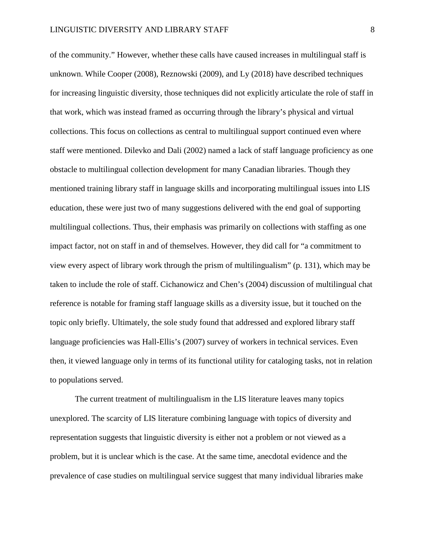of the community." However, whether these calls have caused increases in multilingual staff is unknown. While Cooper (2008), Reznowski (2009), and Ly (2018) have described techniques for increasing linguistic diversity, those techniques did not explicitly articulate the role of staff in that work, which was instead framed as occurring through the library's physical and virtual collections. This focus on collections as central to multilingual support continued even where staff were mentioned. Dilevko and Dali (2002) named a lack of staff language proficiency as one obstacle to multilingual collection development for many Canadian libraries. Though they mentioned training library staff in language skills and incorporating multilingual issues into LIS education, these were just two of many suggestions delivered with the end goal of supporting multilingual collections. Thus, their emphasis was primarily on collections with staffing as one impact factor, not on staff in and of themselves. However, they did call for "a commitment to view every aspect of library work through the prism of multilingualism" (p. 131), which may be taken to include the role of staff. Cichanowicz and Chen's (2004) discussion of multilingual chat reference is notable for framing staff language skills as a diversity issue, but it touched on the topic only briefly. Ultimately, the sole study found that addressed and explored library staff language proficiencies was Hall-Ellis's (2007) survey of workers in technical services. Even then, it viewed language only in terms of its functional utility for cataloging tasks, not in relation to populations served.

The current treatment of multilingualism in the LIS literature leaves many topics unexplored. The scarcity of LIS literature combining language with topics of diversity and representation suggests that linguistic diversity is either not a problem or not viewed as a problem, but it is unclear which is the case. At the same time, anecdotal evidence and the prevalence of case studies on multilingual service suggest that many individual libraries make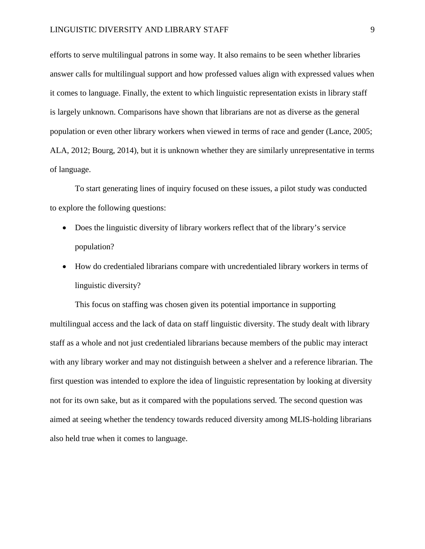efforts to serve multilingual patrons in some way. It also remains to be seen whether libraries answer calls for multilingual support and how professed values align with expressed values when it comes to language. Finally, the extent to which linguistic representation exists in library staff is largely unknown. Comparisons have shown that librarians are not as diverse as the general population or even other library workers when viewed in terms of race and gender (Lance, 2005; ALA, 2012; Bourg, 2014), but it is unknown whether they are similarly unrepresentative in terms of language.

To start generating lines of inquiry focused on these issues, a pilot study was conducted to explore the following questions:

- Does the linguistic diversity of library workers reflect that of the library's service population?
- How do credentialed librarians compare with uncredentialed library workers in terms of linguistic diversity?

This focus on staffing was chosen given its potential importance in supporting multilingual access and the lack of data on staff linguistic diversity. The study dealt with library staff as a whole and not just credentialed librarians because members of the public may interact with any library worker and may not distinguish between a shelver and a reference librarian. The first question was intended to explore the idea of linguistic representation by looking at diversity not for its own sake, but as it compared with the populations served. The second question was aimed at seeing whether the tendency towards reduced diversity among MLIS-holding librarians also held true when it comes to language.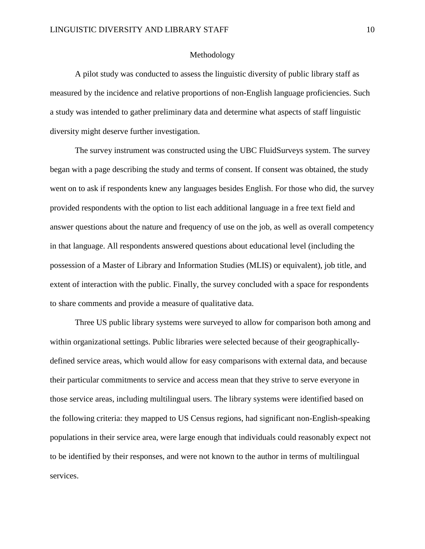#### Methodology

A pilot study was conducted to assess the linguistic diversity of public library staff as measured by the incidence and relative proportions of non-English language proficiencies. Such a study was intended to gather preliminary data and determine what aspects of staff linguistic diversity might deserve further investigation.

The survey instrument was constructed using the UBC FluidSurveys system. The survey began with a page describing the study and terms of consent. If consent was obtained, the study went on to ask if respondents knew any languages besides English. For those who did, the survey provided respondents with the option to list each additional language in a free text field and answer questions about the nature and frequency of use on the job, as well as overall competency in that language. All respondents answered questions about educational level (including the possession of a Master of Library and Information Studies (MLIS) or equivalent), job title, and extent of interaction with the public. Finally, the survey concluded with a space for respondents to share comments and provide a measure of qualitative data.

Three US public library systems were surveyed to allow for comparison both among and within organizational settings. Public libraries were selected because of their geographicallydefined service areas, which would allow for easy comparisons with external data, and because their particular commitments to service and access mean that they strive to serve everyone in those service areas, including multilingual users. The library systems were identified based on the following criteria: they mapped to US Census regions, had significant non-English-speaking populations in their service area, were large enough that individuals could reasonably expect not to be identified by their responses, and were not known to the author in terms of multilingual services.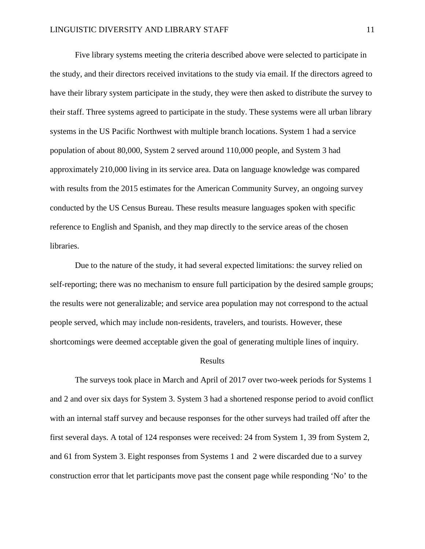Five library systems meeting the criteria described above were selected to participate in the study, and their directors received invitations to the study via email. If the directors agreed to have their library system participate in the study, they were then asked to distribute the survey to their staff. Three systems agreed to participate in the study. These systems were all urban library systems in the US Pacific Northwest with multiple branch locations. System 1 had a service population of about 80,000, System 2 served around 110,000 people, and System 3 had approximately 210,000 living in its service area. Data on language knowledge was compared with results from the 2015 estimates for the American Community Survey, an ongoing survey conducted by the US Census Bureau. These results measure languages spoken with specific reference to English and Spanish, and they map directly to the service areas of the chosen libraries.

Due to the nature of the study, it had several expected limitations: the survey relied on self-reporting; there was no mechanism to ensure full participation by the desired sample groups; the results were not generalizable; and service area population may not correspond to the actual people served, which may include non-residents, travelers, and tourists. However, these shortcomings were deemed acceptable given the goal of generating multiple lines of inquiry.

#### Results

The surveys took place in March and April of 2017 over two-week periods for Systems 1 and 2 and over six days for System 3. System 3 had a shortened response period to avoid conflict with an internal staff survey and because responses for the other surveys had trailed off after the first several days. A total of 124 responses were received: 24 from System 1, 39 from System 2, and 61 from System 3. Eight responses from Systems 1 and 2 were discarded due to a survey construction error that let participants move past the consent page while responding 'No' to the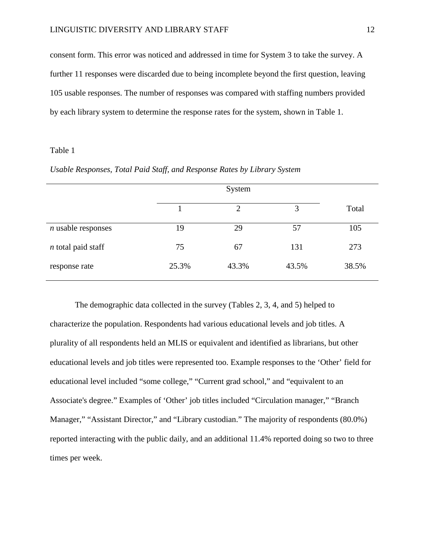consent form. This error was noticed and addressed in time for System 3 to take the survey. A further 11 responses were discarded due to being incomplete beyond the first question, leaving 105 usable responses. The number of responses was compared with staffing numbers provided by each library system to determine the response rates for the system, shown in Table 1.

#### Table 1

|                      |    | System |     |       |
|----------------------|----|--------|-----|-------|
|                      |    |        |     | Total |
| $n$ usable responses | 19 | 29     | 57  | 105   |
| $n$ total paid staff | 75 | 67     | 131 | 273   |

response rate 25.3% 43.3% 43.5% 38.5%

*Usable Responses, Total Paid Staff, and Response Rates by Library System*

The demographic data collected in the survey (Tables 2, 3, 4, and 5) helped to characterize the population. Respondents had various educational levels and job titles. A plurality of all respondents held an MLIS or equivalent and identified as librarians, but other educational levels and job titles were represented too. Example responses to the 'Other' field for educational level included "some college," "Current grad school," and "equivalent to an Associate's degree." Examples of 'Other' job titles included "Circulation manager," "Branch Manager," "Assistant Director," and "Library custodian." The majority of respondents (80.0%) reported interacting with the public daily, and an additional 11.4% reported doing so two to three times per week.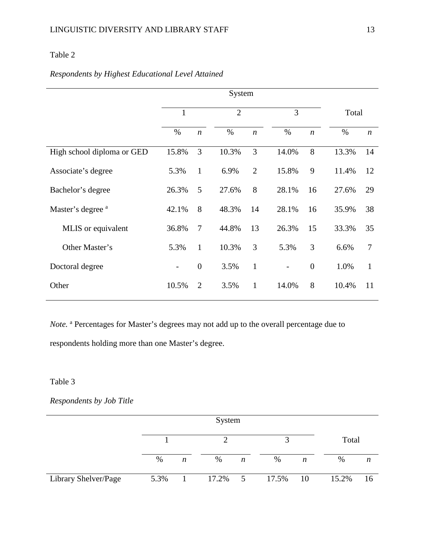# Table 2

# *Respondents by Highest Educational Level Attained*

|                              |              |                  | System         |                  |                |                  |       |                  |
|------------------------------|--------------|------------------|----------------|------------------|----------------|------------------|-------|------------------|
|                              | $\mathbf{1}$ |                  | $\overline{2}$ |                  | 3              |                  | Total |                  |
|                              | $\%$         | $\boldsymbol{n}$ | $\%$           | $\boldsymbol{n}$ | $\%$           | $\boldsymbol{n}$ | $\%$  | $\boldsymbol{n}$ |
| High school diploma or GED   | 15.8%        | 3                | 10.3%          | 3                | 14.0%          | 8                | 13.3% | 14               |
| Associate's degree           | 5.3%         | $\mathbf{1}$     | 6.9%           | $\overline{2}$   | 15.8%          | 9                | 11.4% | 12               |
| Bachelor's degree            | 26.3%        | 5                | 27.6%          | 8                | 28.1%          | 16               | 27.6% | 29               |
| Master's degree <sup>a</sup> | 42.1%        | 8                | 48.3%          | 14               | 28.1%          | 16               | 35.9% | 38               |
| MLIS or equivalent           | 36.8%        | $\overline{7}$   | 44.8%          | 13               | 26.3%          | 15               | 33.3% | 35               |
| Other Master's               | 5.3%         | $\mathbf{1}$     | 10.3%          | 3                | 5.3%           | 3                | 6.6%  | 7                |
| Doctoral degree              | -            | $\boldsymbol{0}$ | 3.5%           | $\mathbf{1}$     | $\overline{a}$ | $\overline{0}$   | 1.0%  | $\mathbf{1}$     |
| Other                        | 10.5%        | $\overline{2}$   | 3.5%           | $\mathbf{1}$     | 14.0%          | 8                | 10.4% | 11               |

*Note*.<sup>a</sup> Percentages for Master's degrees may not add up to the overall percentage due to respondents holding more than one Master's degree.

## Table 3

*Respondents by Job Title*

|                      |      |                  | System  |   |          |   |       |    |
|----------------------|------|------------------|---------|---|----------|---|-------|----|
|                      |      |                  |         |   |          |   | Total |    |
|                      | $\%$ | $\boldsymbol{n}$ | %       | n | %        | n | $\%$  | n  |
| Library Shelver/Page | 5.3% |                  | 17.2% 5 |   | 17.5% 10 |   | 15.2% | 16 |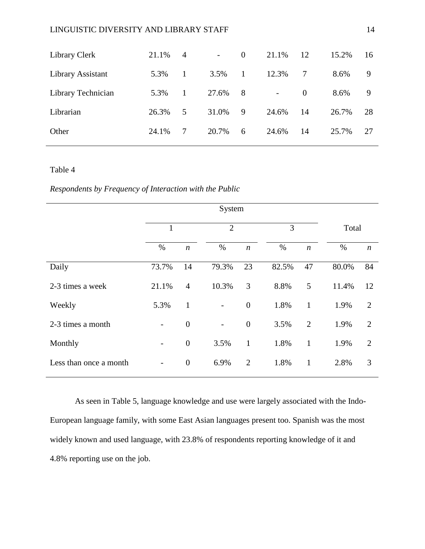## LINGUISTIC DIVERSITY AND LIBRARY STAFF 14

| Library Clerk      | 21.1% | 4            | $\sim$ | $\overline{0}$ | 21.1%          | 12       | 15.2% | 16 |
|--------------------|-------|--------------|--------|----------------|----------------|----------|-------|----|
| Library Assistant  | 5.3%  | $\mathbf{1}$ | 3.5%   | $\mathbf{1}$   | 12.3%          | 7        | 8.6%  | 9  |
| Library Technician | 5.3%  | $\mathbf{1}$ | 27.6%  | 8              | $\overline{a}$ | $\Omega$ | 8.6%  | 9  |
| Librarian          | 26.3% | 5            | 31.0%  | 9              | 24.6%          | 14       | 26.7% | 28 |
| Other              | 24.1% |              | 20.7%  | 6              | 24.6%          | 14       | 25.7% | 27 |

## Table 4

*Respondents by Frequency of Interaction with the Public*

|                        | 1                 |                  |                          |                  | 3     |                  | Total |                  |
|------------------------|-------------------|------------------|--------------------------|------------------|-------|------------------|-------|------------------|
|                        | $\%$              | $\boldsymbol{n}$ | $\%$                     | $\boldsymbol{n}$ | $\%$  | $\boldsymbol{n}$ | $\%$  | $\boldsymbol{n}$ |
| Daily                  | 73.7%             | 14               | 79.3%                    | 23               | 82.5% | 47               | 80.0% | 84               |
| 2-3 times a week       | 21.1%             | $\overline{4}$   | 10.3%                    | 3                | 8.8%  | 5                | 11.4% | 12               |
| Weekly                 | 5.3%              | $\mathbf{1}$     | $\overline{\phantom{0}}$ | $\boldsymbol{0}$ | 1.8%  | $\mathbf{1}$     | 1.9%  | $\overline{2}$   |
| 2-3 times a month      | $\qquad \qquad -$ | $\boldsymbol{0}$ | $\qquad \qquad -$        | $\boldsymbol{0}$ | 3.5%  | $\overline{2}$   | 1.9%  | $\overline{2}$   |
| Monthly                | -                 | $\boldsymbol{0}$ | 3.5%                     | $\mathbf{1}$     | 1.8%  | $\mathbf{1}$     | 1.9%  | $\overline{2}$   |
| Less than once a month | -                 | $\boldsymbol{0}$ | 6.9%                     | $\overline{2}$   | 1.8%  | $\mathbf{1}$     | 2.8%  | 3                |

As seen in Table 5, language knowledge and use were largely associated with the Indo-European language family, with some East Asian languages present too. Spanish was the most widely known and used language, with 23.8% of respondents reporting knowledge of it and 4.8% reporting use on the job.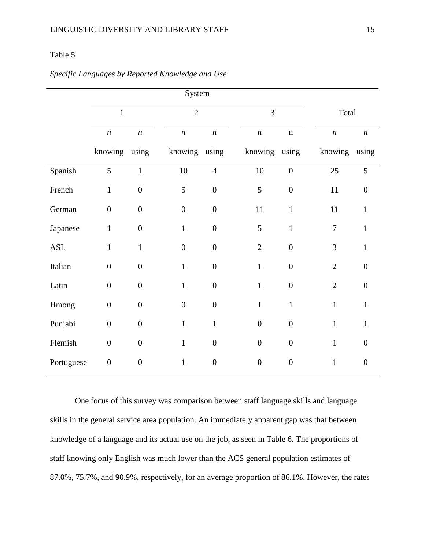## Table 5

|                      |                  |                  | System           |                  |                  |                  |                  |                  |
|----------------------|------------------|------------------|------------------|------------------|------------------|------------------|------------------|------------------|
|                      | $\mathbf{1}$     |                  | $\overline{2}$   |                  | $\overline{3}$   |                  | Total            |                  |
|                      | $\boldsymbol{n}$ | $\boldsymbol{n}$ | $\boldsymbol{n}$ | $\boldsymbol{n}$ | $\boldsymbol{n}$ | $\mathbf n$      | $\boldsymbol{n}$ | $\boldsymbol{n}$ |
|                      | knowing using    |                  | knowing using    |                  | knowing using    |                  | knowing          | using            |
| Spanish              | 5                | $\mathbf{1}$     | $10\,$           | $\overline{4}$   | 10               | $\boldsymbol{0}$ | 25               | 5                |
| French               | $\mathbf{1}$     | $\boldsymbol{0}$ | 5                | $\boldsymbol{0}$ | 5                | $\boldsymbol{0}$ | 11               | $\boldsymbol{0}$ |
| German               | $\boldsymbol{0}$ | $\boldsymbol{0}$ | $\boldsymbol{0}$ | $\boldsymbol{0}$ | $11\,$           | $\mathbf{1}$     | 11               | $\mathbf{1}$     |
| Japanese             | $\mathbf{1}$     | $\boldsymbol{0}$ | $\mathbf{1}$     | $\boldsymbol{0}$ | 5                | $\mathbf{1}$     | $\overline{7}$   | $\mathbf{1}$     |
| $\operatorname{ASL}$ | $\mathbf{1}$     | $\mathbf{1}$     | $\boldsymbol{0}$ | $\boldsymbol{0}$ | $\mathbf{2}$     | $\boldsymbol{0}$ | 3                | $\mathbf{1}$     |
| Italian              | $\overline{0}$   | $\boldsymbol{0}$ | $\mathbf{1}$     | $\boldsymbol{0}$ | $\mathbf{1}$     | $\boldsymbol{0}$ | $\overline{2}$   | $\overline{0}$   |
| Latin                | $\boldsymbol{0}$ | $\boldsymbol{0}$ | $\mathbf{1}$     | $\boldsymbol{0}$ | $\mathbf 1$      | $\boldsymbol{0}$ | $\overline{2}$   | $\boldsymbol{0}$ |
| Hmong                | $\boldsymbol{0}$ | $\boldsymbol{0}$ | $\boldsymbol{0}$ | $\boldsymbol{0}$ | $\mathbf{1}$     | $\mathbf{1}$     | $\mathbf{1}$     | $\mathbf{1}$     |
| Punjabi              | $\boldsymbol{0}$ | $\boldsymbol{0}$ | $\mathbf{1}$     | $\mathbf{1}$     | $\boldsymbol{0}$ | $\boldsymbol{0}$ | $\mathbf{1}$     | $\mathbf{1}$     |
| Flemish              | $\boldsymbol{0}$ | $\overline{0}$   | $\mathbf{1}$     | $\boldsymbol{0}$ | $\boldsymbol{0}$ | $\overline{0}$   | $\mathbf{1}$     | $\overline{0}$   |
| Portuguese           | $\boldsymbol{0}$ | $\boldsymbol{0}$ | $\mathbf{1}$     | $\boldsymbol{0}$ | $\boldsymbol{0}$ | $\boldsymbol{0}$ | $\mathbf{1}$     | $\boldsymbol{0}$ |

## *Specific Languages by Reported Knowledge and Use*

One focus of this survey was comparison between staff language skills and language skills in the general service area population. An immediately apparent gap was that between knowledge of a language and its actual use on the job, as seen in Table 6. The proportions of staff knowing only English was much lower than the ACS general population estimates of 87.0%, 75.7%, and 90.9%, respectively, for an average proportion of 86.1%. However, the rates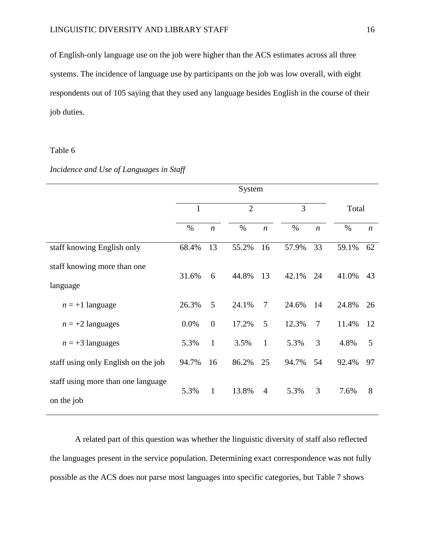of English-only language use on the job were higher than the ACS estimates across all three systems. The incidence of language use by participants on the job was low overall, with eight respondents out of 105 saying that they used any language besides English in the course of their job duties.

### Table 6

## *Incidence and Use of Languages in Staff*

|                                                  |              |                  | System         |                  |       |                  |       |                  |
|--------------------------------------------------|--------------|------------------|----------------|------------------|-------|------------------|-------|------------------|
|                                                  | $\mathbf{1}$ |                  | $\overline{2}$ |                  | 3     |                  | Total |                  |
|                                                  | $\%$         | $\boldsymbol{n}$ | $\%$           | $\boldsymbol{n}$ | $\%$  | $\boldsymbol{n}$ | $\%$  | $\boldsymbol{n}$ |
| staff knowing English only                       | 68.4%        | 13               | 55.2%          | 16               | 57.9% | 33               | 59.1% | 62               |
| staff knowing more than one<br>language          | 31.6%        | 6                | 44.8%          | 13               | 42.1% | 24               | 41.0% | 43               |
| $n = +1$ language                                | 26.3%        | 5                | 24.1%          | $\overline{7}$   | 24.6% | 14               | 24.8% | 26               |
| $n = +2$ languages                               | 0.0%         | $\mathbf{0}$     | 17.2%          | 5                | 12.3% | $\overline{7}$   | 11.4% | 12               |
| $n = +3$ languages                               | 5.3%         | $\mathbf{1}$     | 3.5%           | $\mathbf{1}$     | 5.3%  | 3                | 4.8%  | 5                |
| staff using only English on the job              | 94.7%        | 16               | 86.2%          | 25               | 94.7% | 54               | 92.4% | 97               |
| staff using more than one language<br>on the job | 5.3%         | $\mathbf{1}$     | 13.8%          | $\overline{4}$   | 5.3%  | 3                | 7.6%  | 8                |

A related part of this question was whether the linguistic diversity of staff also reflected the languages present in the service population. Determining exact correspondence was not fully possible as the ACS does not parse most languages into specific categories, but Table 7 shows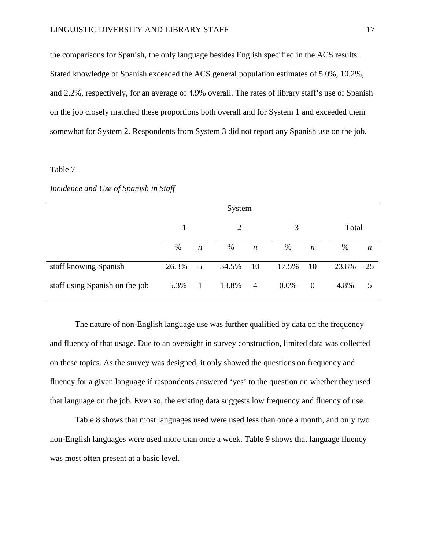the comparisons for Spanish, the only language besides English specified in the ACS results. Stated knowledge of Spanish exceeded the ACS general population estimates of 5.0%, 10.2%, and 2.2%, respectively, for an average of 4.9% overall. The rates of library staff's use of Spanish on the job closely matched these proportions both overall and for System 1 and exceeded them somewhat for System 2. Respondents from System 3 did not report any Spanish use on the job.

### Table 7

#### *Incidence and Use of Spanish in Staff*

|                                |       | System           |                |                  |         |                  |       |                  |  |  |
|--------------------------------|-------|------------------|----------------|------------------|---------|------------------|-------|------------------|--|--|
|                                |       |                  | $\overline{2}$ |                  | 3       |                  | Total |                  |  |  |
|                                | $\%$  | $\boldsymbol{n}$ | $\%$           | $\boldsymbol{n}$ | $\%$    | $\boldsymbol{n}$ | %     | $\boldsymbol{n}$ |  |  |
| staff knowing Spanish          | 26.3% | 5                | 34.5%          | 10               | 17.5%   | 10               | 23.8% | 25               |  |  |
| staff using Spanish on the job | 5.3%  | $\mathbf{1}$     | 13.8%          | $\overline{4}$   | $0.0\%$ | $\mathbf{0}$     | 4.8%  | 5                |  |  |

The nature of non-English language use was further qualified by data on the frequency and fluency of that usage. Due to an oversight in survey construction, limited data was collected on these topics. As the survey was designed, it only showed the questions on frequency and fluency for a given language if respondents answered 'yes' to the question on whether they used that language on the job. Even so, the existing data suggests low frequency and fluency of use.

Table 8 shows that most languages used were used less than once a month, and only two non-English languages were used more than once a week. Table 9 shows that language fluency was most often present at a basic level.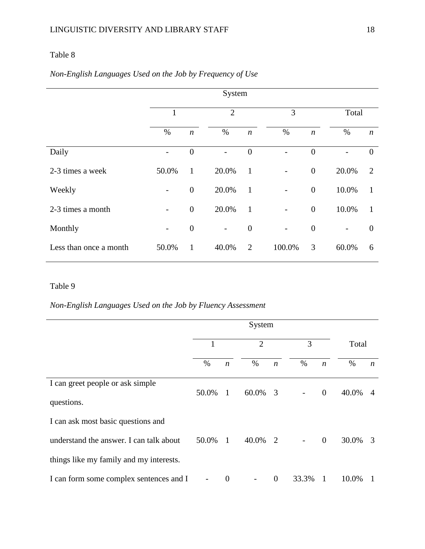# Table 8

# *Non-English Languages Used on the Job by Frequency of Use*

|                        | 1                        |                  | $\overline{2}$           |                  | 3      |                  | Total                    |                  |
|------------------------|--------------------------|------------------|--------------------------|------------------|--------|------------------|--------------------------|------------------|
|                        | $\%$                     | $\boldsymbol{n}$ | $\%$                     | $\boldsymbol{n}$ | $\%$   | $\boldsymbol{n}$ | $\%$                     | $\boldsymbol{n}$ |
| Daily                  | $\overline{\phantom{0}}$ | $\overline{0}$   | -                        | $\overline{0}$   |        | $\overline{0}$   | $\overline{a}$           | $\theta$         |
| 2-3 times a week       | 50.0%                    | $\mathbf{1}$     | 20.0%                    | $\mathbf{1}$     |        | $\overline{0}$   | 20.0%                    | 2                |
| Weekly                 | $\overline{\phantom{a}}$ | $\mathbf{0}$     | 20.0%                    | $\mathbf{1}$     |        | $\overline{0}$   | 10.0%                    | $\mathbf{1}$     |
| 2-3 times a month      | $\overline{\phantom{0}}$ | $\boldsymbol{0}$ | 20.0%                    | $\mathbf{1}$     | -      | $\boldsymbol{0}$ | 10.0%                    | 1                |
| Monthly                | $\overline{\phantom{a}}$ | $\boldsymbol{0}$ | $\overline{\phantom{a}}$ | $\boldsymbol{0}$ |        | $\boldsymbol{0}$ | $\overline{\phantom{0}}$ | $\overline{0}$   |
| Less than once a month | 50.0%                    | $\mathbf{1}$     | 40.0%                    | $\overline{2}$   | 100.0% | 3                | 60.0%                    | 6                |

# Table 9

# *Non-English Languages Used on the Job by Fluency Assessment*

|                                                                                                                          |       |                  | System         |                  |       |                  |       |                  |
|--------------------------------------------------------------------------------------------------------------------------|-------|------------------|----------------|------------------|-------|------------------|-------|------------------|
|                                                                                                                          | 1     |                  | $\overline{2}$ |                  | 3     |                  | Total |                  |
|                                                                                                                          | $\%$  | $\boldsymbol{n}$ | $\%$           | $\boldsymbol{n}$ | %     | $\boldsymbol{n}$ | $\%$  | $\boldsymbol{n}$ |
| I can greet people or ask simple<br>questions.                                                                           | 50.0% | -1               | 60.0%          | $\overline{3}$   |       | $\overline{0}$   | 40.0% | $\overline{A}$   |
| I can ask most basic questions and<br>understand the answer. I can talk about<br>things like my family and my interests. | 50.0% | $\mathbf{1}$     | 40.0%          | 2                |       | $\overline{0}$   | 30.0% | -3               |
| I can form some complex sentences and I                                                                                  |       | $\theta$         |                | $\overline{0}$   | 33.3% | $\overline{1}$   | 10.0% |                  |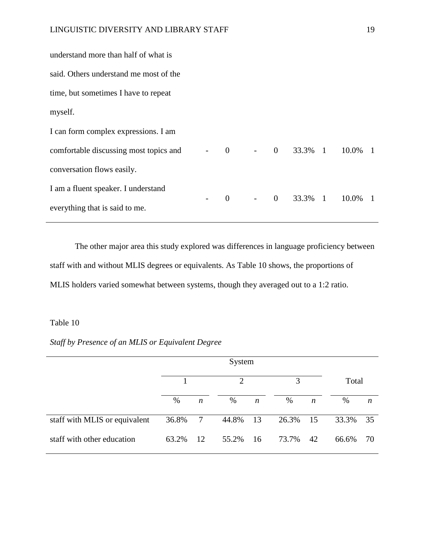| understand more than half of what is   |  |  |  |                           |  |
|----------------------------------------|--|--|--|---------------------------|--|
| said. Others understand me most of the |  |  |  |                           |  |
| time, but sometimes I have to repeat   |  |  |  |                           |  |
| myself.                                |  |  |  |                           |  |
| I can form complex expressions. I am   |  |  |  |                           |  |
| comfortable discussing most topics and |  |  |  | $-$ 0 - 0 33.3% 1 10.0% 1 |  |
| conversation flows easily.             |  |  |  |                           |  |
| I am a fluent speaker. I understand    |  |  |  | 0 - 0 33.3% 1 10.0% 1     |  |
| everything that is said to me.         |  |  |  |                           |  |
|                                        |  |  |  |                           |  |

The other major area this study explored was differences in language proficiency between staff with and without MLIS degrees or equivalents. As Table 10 shows, the proportions of MLIS holders varied somewhat between systems, though they averaged out to a 1:2 ratio.

## Table 10

# *Staff by Presence of an MLIS or Equivalent Degree*

|                               |       |                  | $\mathcal{D}_{\cdot}$ |                  | 3     |                  | Total |                  |
|-------------------------------|-------|------------------|-----------------------|------------------|-------|------------------|-------|------------------|
|                               | $\%$  | $\boldsymbol{n}$ | %                     | $\boldsymbol{n}$ | %     | $\boldsymbol{n}$ | %     | $\boldsymbol{n}$ |
| staff with MLIS or equivalent | 36.8% | 7                | 44.8%                 | 13               | 26.3% | 15               | 33.3% | 35               |
| staff with other education    | 63.2% | 12               | 55.2%                 | 16               | 73.7% | 42               | 66.6% | 70               |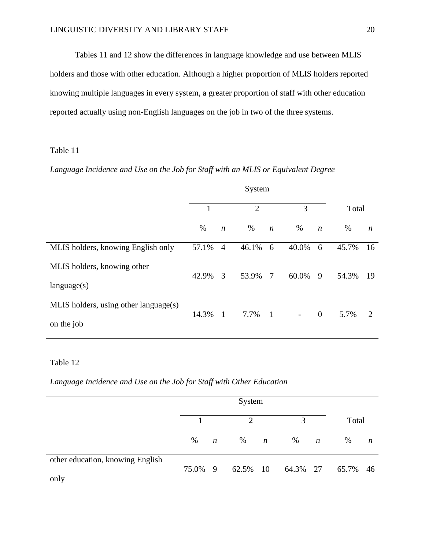Tables 11 and 12 show the differences in language knowledge and use between MLIS holders and those with other education. Although a higher proportion of MLIS holders reported knowing multiple languages in every system, a greater proportion of staff with other education reported actually using non-English languages on the job in two of the three systems.

## Table 11

## *Language Incidence and Use on the Job for Staff with an MLIS or Equivalent Degree*

|                                       | 1     |                  | $\overline{2}$ |                  | 3                        |                  | Total |                  |
|---------------------------------------|-------|------------------|----------------|------------------|--------------------------|------------------|-------|------------------|
|                                       | $\%$  | $\boldsymbol{n}$ | $\%$           | $\boldsymbol{n}$ | $\%$                     | $\boldsymbol{n}$ | %     | $\boldsymbol{n}$ |
| MLIS holders, knowing English only    | 57.1% | $\overline{4}$   | 46.1%          | 6                | 40.0%                    | 6                | 45.7% | 16               |
| MLIS holders, knowing other           | 42.9% | 3                | 53.9%          | 7                | 60.0%                    | - 9              | 54.3% | 19               |
| language(s)                           |       |                  |                |                  |                          |                  |       |                  |
| MLIS holders, using other language(s) |       |                  |                |                  |                          |                  |       |                  |
| on the job                            | 14.3% | $\mathbf{1}$     | 7.7%           | $\overline{1}$   | $\overline{\phantom{a}}$ | $\theta$         | 5.7%  | 2                |

# Table 12

*Language Incidence and Use on the Job for Staff with Other Education*

|                                          |         | System           |                |                  |                   |                  |       |    |
|------------------------------------------|---------|------------------|----------------|------------------|-------------------|------------------|-------|----|
|                                          |         |                  | $\overline{2}$ |                  | 3                 |                  | Total |    |
|                                          | %       | $\boldsymbol{n}$ | %              | $\boldsymbol{n}$ | $\%$              | $\boldsymbol{n}$ | %     | n  |
| other education, knowing English<br>only | 75.0% 9 |                  |                |                  | 62.5% 10 64.3% 27 |                  | 65.7% | 46 |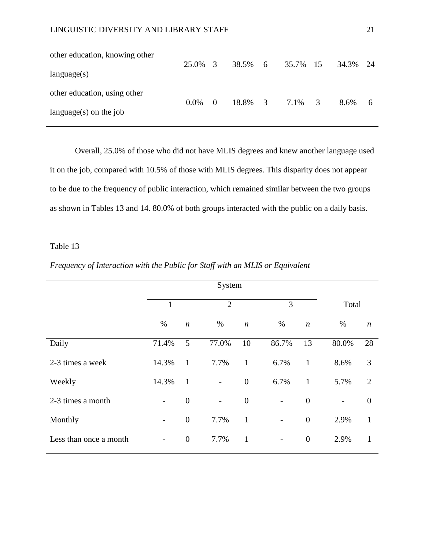| other education, knowing other | 25.0% 3 |          | 38.5% 6 | 35.7% 15 |                | 34.3% 24 |   |
|--------------------------------|---------|----------|---------|----------|----------------|----------|---|
| language(s)                    |         |          |         |          |                |          |   |
| other education, using other   |         |          | 18.8% 3 |          | $\overline{3}$ | 8.6%     |   |
| language $(s)$ on the job      | $0.0\%$ | $\theta$ |         | 7.1%     |                |          | 6 |

Overall, 25.0% of those who did not have MLIS degrees and knew another language used it on the job, compared with 10.5% of those with MLIS degrees. This disparity does not appear to be due to the frequency of public interaction, which remained similar between the two groups as shown in Tables 13 and 14. 80.0% of both groups interacted with the public on a daily basis.

### Table 13

|                        | System                   |                  |                          |                  |                          |                  |                          |                  |  |
|------------------------|--------------------------|------------------|--------------------------|------------------|--------------------------|------------------|--------------------------|------------------|--|
|                        | 1                        |                  | $\overline{2}$           |                  | 3                        |                  |                          | Total            |  |
|                        | $\%$                     | $\boldsymbol{n}$ | %                        | $\boldsymbol{n}$ | %                        | $\boldsymbol{n}$ | %                        | $\boldsymbol{n}$ |  |
| Daily                  | 71.4%                    | 5                | 77.0%                    | 10               | 86.7%                    | 13               | 80.0%                    | 28               |  |
| 2-3 times a week       | 14.3%                    | $\mathbf{1}$     | 7.7%                     | $\mathbf{1}$     | 6.7%                     | $\mathbf{1}$     | 8.6%                     | 3                |  |
| Weekly                 | 14.3%                    | $\mathbf{1}$     | $\overline{\phantom{a}}$ | $\boldsymbol{0}$ | 6.7%                     | $\mathbf{1}$     | 5.7%                     | $\overline{2}$   |  |
| 2-3 times a month      | $\overline{\phantom{a}}$ | $\overline{0}$   | $\overline{\phantom{a}}$ | $\boldsymbol{0}$ | -                        | $\overline{0}$   | $\overline{\phantom{0}}$ | $\overline{0}$   |  |
| Monthly                | $\overline{\phantom{a}}$ | $\overline{0}$   | 7.7%                     | $\mathbf{1}$     | $\overline{\phantom{0}}$ | $\mathbf{0}$     | 2.9%                     | 1                |  |
| Less than once a month | $\overline{\phantom{a}}$ | $\boldsymbol{0}$ | 7.7%                     | $\mathbf{1}$     | $\qquad \qquad -$        | $\overline{0}$   | 2.9%                     | 1                |  |

## *Frequency of Interaction with the Public for Staff with an MLIS or Equivalent*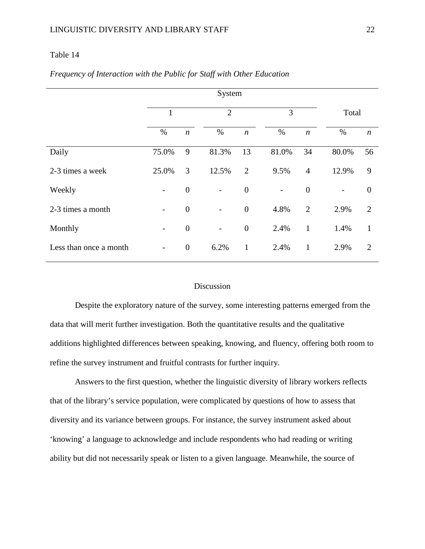### Table 14

|                        | System                   |                  |                          |                  |                          |                  |       |                  |  |  |
|------------------------|--------------------------|------------------|--------------------------|------------------|--------------------------|------------------|-------|------------------|--|--|
|                        |                          |                  | $\overline{2}$           |                  | 3                        |                  | Total |                  |  |  |
|                        | $\%$                     | $\boldsymbol{n}$ | $\%$                     | $\boldsymbol{n}$ | $\%$                     | $\boldsymbol{n}$ | $\%$  | $\boldsymbol{n}$ |  |  |
| Daily                  | 75.0%                    | 9                | 81.3%                    | 13               | 81.0%                    | 34               | 80.0% | 56               |  |  |
| 2-3 times a week       | 25.0%                    | 3                | 12.5%                    | $\overline{2}$   | 9.5%                     | $\overline{4}$   | 12.9% | 9                |  |  |
| Weekly                 | $\overline{\phantom{a}}$ | $\boldsymbol{0}$ | $\overline{\phantom{0}}$ | $\boldsymbol{0}$ | $\overline{\phantom{0}}$ | $\boldsymbol{0}$ |       | $\boldsymbol{0}$ |  |  |
| 2-3 times a month      | $\overline{\phantom{a}}$ | $\overline{0}$   | $\overline{a}$           | $\boldsymbol{0}$ | 4.8%                     | $\overline{2}$   | 2.9%  | $\overline{2}$   |  |  |
| Monthly                | $\overline{\phantom{0}}$ | $\overline{0}$   | $\qquad \qquad -$        | $\boldsymbol{0}$ | 2.4%                     | $\mathbf{1}$     | 1.4%  | $\mathbf{1}$     |  |  |
| Less than once a month |                          | $\boldsymbol{0}$ | 6.2%                     | $\mathbf{1}$     | 2.4%                     | 1                | 2.9%  | $\overline{2}$   |  |  |

## *Frequency of Interaction with the Public for Staff with Other Education*

### Discussion

Despite the exploratory nature of the survey, some interesting patterns emerged from the data that will merit further investigation. Both the quantitative results and the qualitative additions highlighted differences between speaking, knowing, and fluency, offering both room to refine the survey instrument and fruitful contrasts for further inquiry.

Answers to the first question, whether the linguistic diversity of library workers reflects that of the library's service population, were complicated by questions of how to assess that diversity and its variance between groups. For instance, the survey instrument asked about 'knowing' a language to acknowledge and include respondents who had reading or writing ability but did not necessarily speak or listen to a given language. Meanwhile, the source of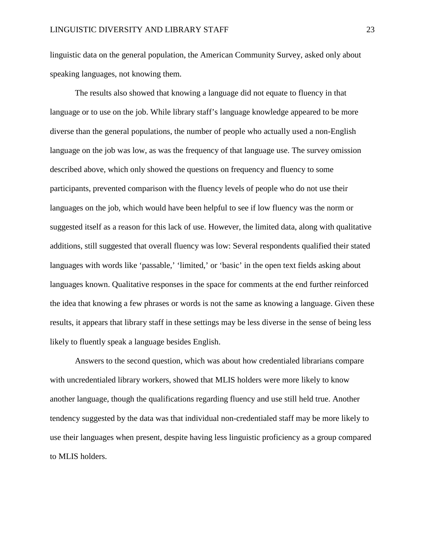linguistic data on the general population, the American Community Survey, asked only about speaking languages, not knowing them.

The results also showed that knowing a language did not equate to fluency in that language or to use on the job. While library staff's language knowledge appeared to be more diverse than the general populations, the number of people who actually used a non-English language on the job was low, as was the frequency of that language use. The survey omission described above, which only showed the questions on frequency and fluency to some participants, prevented comparison with the fluency levels of people who do not use their languages on the job, which would have been helpful to see if low fluency was the norm or suggested itself as a reason for this lack of use. However, the limited data, along with qualitative additions, still suggested that overall fluency was low: Several respondents qualified their stated languages with words like 'passable,' 'limited,' or 'basic' in the open text fields asking about languages known. Qualitative responses in the space for comments at the end further reinforced the idea that knowing a few phrases or words is not the same as knowing a language. Given these results, it appears that library staff in these settings may be less diverse in the sense of being less likely to fluently speak a language besides English.

Answers to the second question, which was about how credentialed librarians compare with uncredentialed library workers, showed that MLIS holders were more likely to know another language, though the qualifications regarding fluency and use still held true. Another tendency suggested by the data was that individual non-credentialed staff may be more likely to use their languages when present, despite having less linguistic proficiency as a group compared to MLIS holders.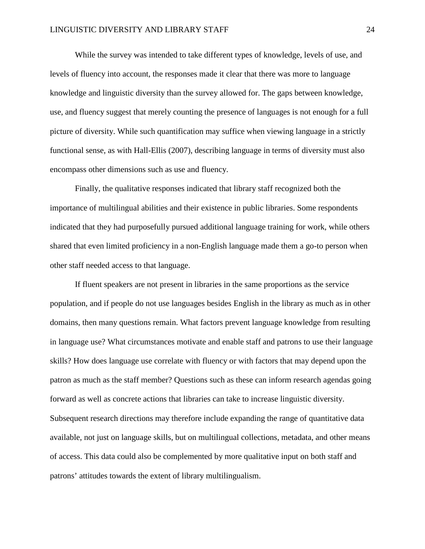While the survey was intended to take different types of knowledge, levels of use, and levels of fluency into account, the responses made it clear that there was more to language knowledge and linguistic diversity than the survey allowed for. The gaps between knowledge, use, and fluency suggest that merely counting the presence of languages is not enough for a full picture of diversity. While such quantification may suffice when viewing language in a strictly functional sense, as with Hall-Ellis (2007), describing language in terms of diversity must also encompass other dimensions such as use and fluency.

Finally, the qualitative responses indicated that library staff recognized both the importance of multilingual abilities and their existence in public libraries. Some respondents indicated that they had purposefully pursued additional language training for work, while others shared that even limited proficiency in a non-English language made them a go-to person when other staff needed access to that language.

If fluent speakers are not present in libraries in the same proportions as the service population, and if people do not use languages besides English in the library as much as in other domains, then many questions remain. What factors prevent language knowledge from resulting in language use? What circumstances motivate and enable staff and patrons to use their language skills? How does language use correlate with fluency or with factors that may depend upon the patron as much as the staff member? Questions such as these can inform research agendas going forward as well as concrete actions that libraries can take to increase linguistic diversity. Subsequent research directions may therefore include expanding the range of quantitative data available, not just on language skills, but on multilingual collections, metadata, and other means of access. This data could also be complemented by more qualitative input on both staff and patrons' attitudes towards the extent of library multilingualism.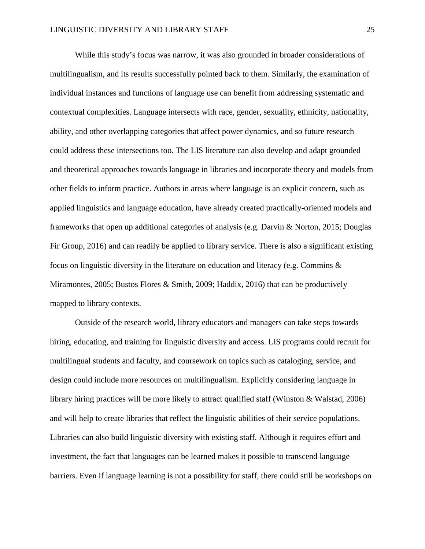While this study's focus was narrow, it was also grounded in broader considerations of multilingualism, and its results successfully pointed back to them. Similarly, the examination of individual instances and functions of language use can benefit from addressing systematic and contextual complexities. Language intersects with race, gender, sexuality, ethnicity, nationality, ability, and other overlapping categories that affect power dynamics, and so future research could address these intersections too. The LIS literature can also develop and adapt grounded and theoretical approaches towards language in libraries and incorporate theory and models from other fields to inform practice. Authors in areas where language is an explicit concern, such as applied linguistics and language education, have already created practically-oriented models and frameworks that open up additional categories of analysis (e.g. Darvin & Norton, 2015; Douglas Fir Group, 2016) and can readily be applied to library service. There is also a significant existing focus on linguistic diversity in the literature on education and literacy (e.g. Commins & Miramontes, 2005; Bustos Flores & Smith, 2009; Haddix, 2016) that can be productively mapped to library contexts.

Outside of the research world, library educators and managers can take steps towards hiring, educating, and training for linguistic diversity and access. LIS programs could recruit for multilingual students and faculty, and coursework on topics such as cataloging, service, and design could include more resources on multilingualism. Explicitly considering language in library hiring practices will be more likely to attract qualified staff (Winston & Walstad, 2006) and will help to create libraries that reflect the linguistic abilities of their service populations. Libraries can also build linguistic diversity with existing staff. Although it requires effort and investment, the fact that languages can be learned makes it possible to transcend language barriers. Even if language learning is not a possibility for staff, there could still be workshops on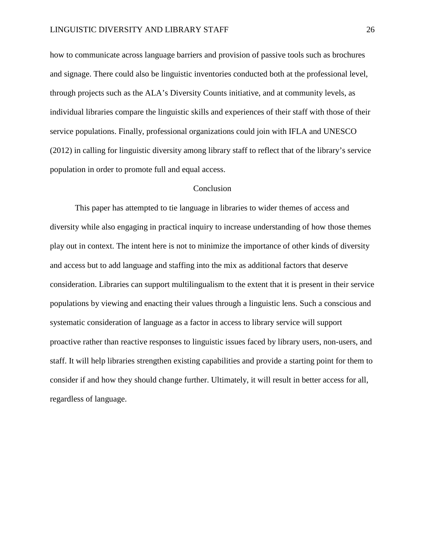how to communicate across language barriers and provision of passive tools such as brochures and signage. There could also be linguistic inventories conducted both at the professional level, through projects such as the ALA's Diversity Counts initiative, and at community levels, as individual libraries compare the linguistic skills and experiences of their staff with those of their service populations. Finally, professional organizations could join with IFLA and UNESCO (2012) in calling for linguistic diversity among library staff to reflect that of the library's service population in order to promote full and equal access.

#### **Conclusion**

This paper has attempted to tie language in libraries to wider themes of access and diversity while also engaging in practical inquiry to increase understanding of how those themes play out in context. The intent here is not to minimize the importance of other kinds of diversity and access but to add language and staffing into the mix as additional factors that deserve consideration. Libraries can support multilingualism to the extent that it is present in their service populations by viewing and enacting their values through a linguistic lens. Such a conscious and systematic consideration of language as a factor in access to library service will support proactive rather than reactive responses to linguistic issues faced by library users, non-users, and staff. It will help libraries strengthen existing capabilities and provide a starting point for them to consider if and how they should change further. Ultimately, it will result in better access for all, regardless of language.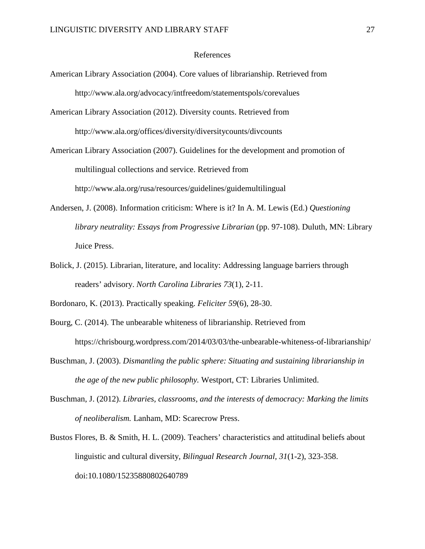#### References

- American Library Association (2004). Core values of librarianship. Retrieved from http://www.ala.org/advocacy/intfreedom/statementspols/corevalues
- American Library Association (2012). Diversity counts. Retrieved from http://www.ala.org/offices/diversity/diversitycounts/divcounts
- American Library Association (2007). Guidelines for the development and promotion of multilingual collections and service. Retrieved from http://www.ala.org/rusa/resources/guidelines/guidemultilingual
- Andersen, J. (2008). Information criticism: Where is it? In A. M. Lewis (Ed.) *Questioning library neutrality: Essays from Progressive Librarian (pp. 97-108). Duluth, MN: Library* Juice Press.
- Bolick, J. (2015). Librarian, literature, and locality: Addressing language barriers through readers' advisory. *North Carolina Libraries 73*(1), 2-11.
- Bordonaro, K. (2013). Practically speaking. *Feliciter 59*(6), 28-30.
- Bourg, C. (2014). The unbearable whiteness of librarianship. Retrieved from https://chrisbourg.wordpress.com/2014/03/03/the-unbearable-whiteness-of-librarianship/
- Buschman, J. (2003). *Dismantling the public sphere: Situating and sustaining librarianship in the age of the new public philosophy.* Westport, CT: Libraries Unlimited.
- Buschman, J. (2012). *Libraries, classrooms, and the interests of democracy: Marking the limits of neoliberalism.* Lanham, MD: Scarecrow Press.
- Bustos Flores, B. & Smith, H. L. (2009). Teachers' characteristics and attitudinal beliefs about linguistic and cultural diversity, *Bilingual Research Journal, 31*(1-2), 323-358. doi:10.1080/15235880802640789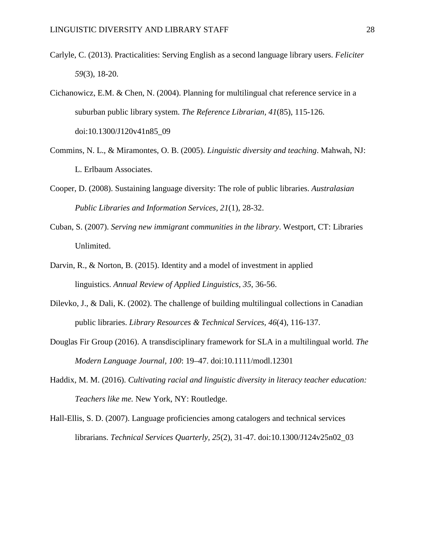- Carlyle, C. (2013). Practicalities: Serving English as a second language library users. *Feliciter 59*(3), 18-20.
- Cichanowicz, E.M. & Chen, N. (2004). Planning for multilingual chat reference service in a suburban public library system. *The Reference Librarian, 41*(85), 115-126. doi:10.1300/J120v41n85\_09
- Commins, N. L., & Miramontes, O. B. (2005). *Linguistic diversity and teaching*. Mahwah, NJ: L. Erlbaum Associates.
- Cooper, D. (2008). Sustaining language diversity: The role of public libraries. *Australasian Public Libraries and Information Services, 21*(1), 28-32.
- Cuban, S. (2007). *Serving new immigrant communities in the library*. Westport, CT: Libraries Unlimited.
- Darvin, R., & Norton, B. (2015). Identity and a model of investment in applied linguistics. *Annual Review of Applied Linguistics, 35*, 36-56.
- Dilevko, J., & Dali, K. (2002). The challenge of building multilingual collections in Canadian public libraries. *Library Resources & Technical Services, 46*(4), 116-137.
- Douglas Fir Group (2016). A transdisciplinary framework for SLA in a multilingual world. *The Modern Language Journal, 100*: 19–47. doi:10.1111/modl.12301
- Haddix, M. M. (2016). *Cultivating racial and linguistic diversity in literacy teacher education: Teachers like me.* New York, NY: Routledge.
- Hall-Ellis, S. D. (2007). Language proficiencies among catalogers and technical services librarians. *Technical Services Quarterly, 25*(2), 31-47. doi:10.1300/J124v25n02\_03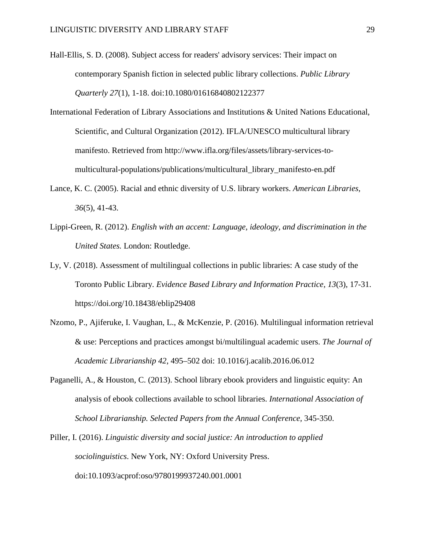- Hall-Ellis, S. D. (2008). Subject access for readers' advisory services: Their impact on contemporary Spanish fiction in selected public library collections. *Public Library Quarterly 27*(1), 1-18. doi:10.1080/01616840802122377
- International Federation of Library Associations and Institutions & United Nations Educational, Scientific, and Cultural Organization (2012). IFLA/UNESCO multicultural library manifesto. Retrieved from http://www.ifla.org/files/assets/library-services-tomulticultural-populations/publications/multicultural\_library\_manifesto-en.pdf
- Lance, K. C. (2005). Racial and ethnic diversity of U.S. library workers. *American Libraries, 36*(5), 41-43.
- Lippi-Green, R. (2012). *English with an accent: Language, ideology, and discrimination in the United States.* London: Routledge.
- Ly, V. (2018). Assessment of multilingual collections in public libraries: A case study of the Toronto Public Library. *Evidence Based Library and Information Practice, 13*(3), 17-31. https://doi.org/10.18438/eblip29408
- Nzomo, P., Ajiferuke, I. Vaughan, L., & McKenzie, P. (2016). Multilingual information retrieval & use: Perceptions and practices amongst bi/multilingual academic users. *The Journal of Academic Librarianship 42*, 495–502 doi: 10.1016/j.acalib.2016.06.012
- Paganelli, A., & Houston, C. (2013). School library ebook providers and linguistic equity: An analysis of ebook collections available to school libraries. *International Association of School Librarianship. Selected Papers from the Annual Conference,* 345-350.
- Piller, I. (2016). *Linguistic diversity and social justice: An introduction to applied sociolinguistics*. New York, NY: Oxford University Press. doi:10.1093/acprof:oso/9780199937240.001.0001